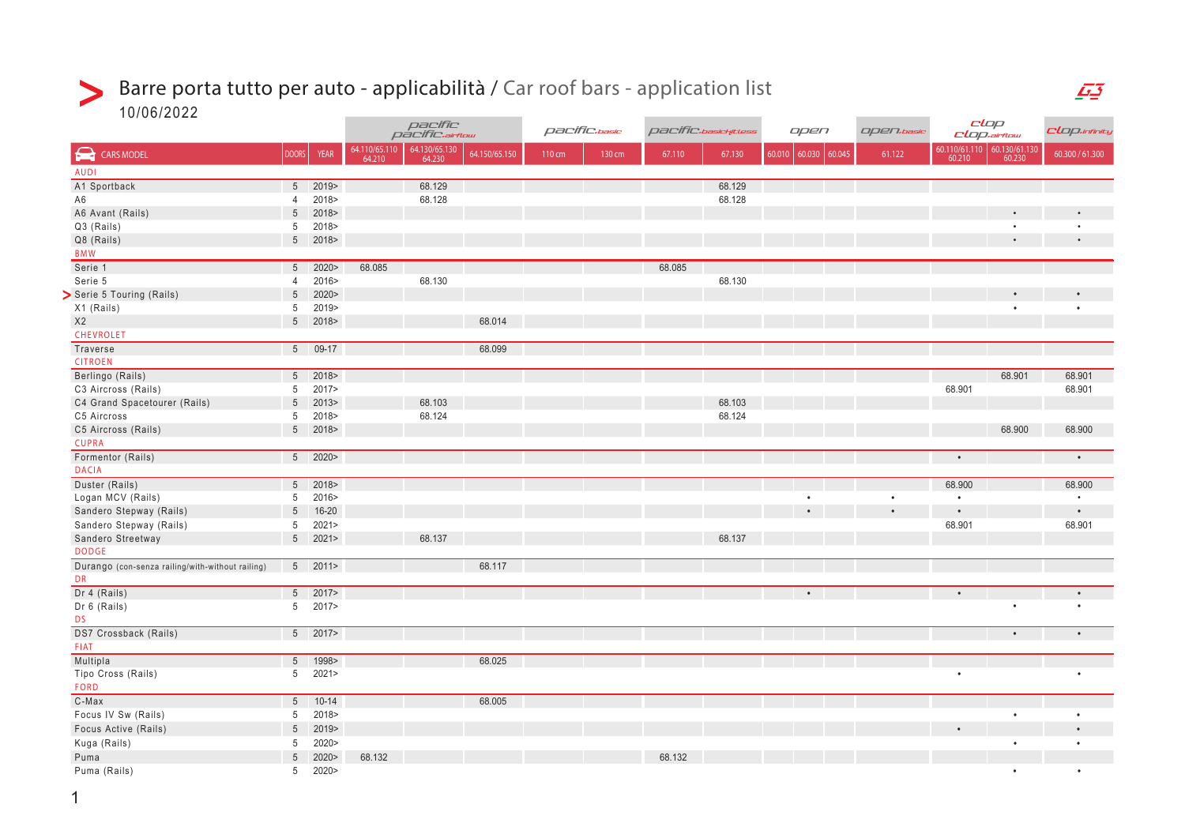#### Barre porta tutto per auto - applicabilità / Car roof bars - application list  $\geq$

10/06/2022

|                                                  |                 |             | pacific<br>pacific.airflow |                         |               | pacific.basic |        | pacific.basichitless | open   |        | Open.basic    | CLOP<br>CLOP.airflow |                         | CLop.infinity           |                 |
|--------------------------------------------------|-----------------|-------------|----------------------------|-------------------------|---------------|---------------|--------|----------------------|--------|--------|---------------|----------------------|-------------------------|-------------------------|-----------------|
| $\blacktriangle$<br><b>CARS MODEL</b>            | <b>DOORS</b>    | <b>YEAR</b> | 64.110/65.110<br>64.210    | 64.130/65.130<br>64.230 | 64.150/65.150 | 110 cm        | 130 cm | 67.110               | 67.130 | 60.010 | 60.030 60.045 | 61.122               | 60.110/61.110<br>60.210 | 60.130/61.130<br>60.230 | 60.300 / 61.300 |
| <b>AUDI</b>                                      |                 |             |                            |                         |               |               |        |                      |        |        |               |                      |                         |                         |                 |
| A1 Sportback                                     |                 | 5 2019>     |                            | 68.129                  |               |               |        |                      | 68.129 |        |               |                      |                         |                         |                 |
| A6                                               | $\overline{4}$  | 2018>       |                            | 68.128                  |               |               |        |                      | 68.128 |        |               |                      |                         |                         |                 |
| A6 Avant (Rails)                                 |                 | 5 2018>     |                            |                         |               |               |        |                      |        |        |               |                      |                         |                         |                 |
| Q3 (Rails)                                       | 5 <sup>5</sup>  | 2018>       |                            |                         |               |               |        |                      |        |        |               |                      |                         |                         | $\bullet$       |
| Q8 (Rails)                                       |                 | 5 2018>     |                            |                         |               |               |        |                      |        |        |               |                      |                         |                         | $\bullet$       |
| <b>BMW</b>                                       |                 |             |                            |                         |               |               |        |                      |        |        |               |                      |                         |                         |                 |
| Serie 1                                          | $5\phantom{.0}$ | 2020        | 68.085                     |                         |               |               |        | 68.085               |        |        |               |                      |                         |                         |                 |
| Serie 5                                          | 4               | 2016>       |                            | 68.130                  |               |               |        |                      | 68.130 |        |               |                      |                         |                         |                 |
| Serie 5 Touring (Rails)                          | $5\overline{)}$ | 2020        |                            |                         |               |               |        |                      |        |        |               |                      |                         |                         |                 |
| X1 (Rails)                                       | 5 <sub>5</sub>  | 2019>       |                            |                         |               |               |        |                      |        |        |               |                      |                         |                         | $\bullet$       |
| X2                                               |                 | 5 2018>     |                            |                         | 68.014        |               |        |                      |        |        |               |                      |                         |                         |                 |
| CHEVROLET                                        |                 |             |                            |                         |               |               |        |                      |        |        |               |                      |                         |                         |                 |
| Traverse                                         |                 | $509-17$    |                            |                         | 68.099        |               |        |                      |        |        |               |                      |                         |                         |                 |
| <b>CITROEN</b>                                   |                 |             |                            |                         |               |               |        |                      |        |        |               |                      |                         |                         |                 |
| Berlingo (Rails)                                 |                 | 5 2018>     |                            |                         |               |               |        |                      |        |        |               |                      |                         | 68.901                  | 68.901          |
| C3 Aircross (Rails)                              | 5               | 2017>       |                            |                         |               |               |        |                      |        |        |               |                      | 68.901                  |                         | 68.901          |
| C4 Grand Spacetourer (Rails)                     | $5\phantom{.0}$ | 2013        |                            | 68.103                  |               |               |        |                      | 68.103 |        |               |                      |                         |                         |                 |
| C5 Aircross                                      | 5               | 2018>       |                            | 68.124                  |               |               |        |                      | 68.124 |        |               |                      |                         |                         |                 |
| C5 Aircross (Rails)                              |                 | 5 2018>     |                            |                         |               |               |        |                      |        |        |               |                      |                         | 68.900                  | 68.900          |
| <b>CUPRA</b>                                     |                 |             |                            |                         |               |               |        |                      |        |        |               |                      |                         |                         |                 |
| Formentor (Rails)                                |                 | 5 2020>     |                            |                         |               |               |        |                      |        |        |               |                      |                         |                         | $\bullet$       |
| <b>DACIA</b>                                     |                 |             |                            |                         |               |               |        |                      |        |        |               |                      |                         |                         |                 |
| Duster (Rails)                                   |                 | $5 \t2018$  |                            |                         |               |               |        |                      |        |        |               |                      | 68.900                  |                         | 68.900          |
| Logan MCV (Rails)                                | 5 <sup>5</sup>  | 2016>       |                            |                         |               |               |        |                      |        |        |               | $\bullet$            | $\bullet$               |                         | $\bullet$       |
| Sandero Stepway (Rails)                          | 5 <sup>5</sup>  | 16-20       |                            |                         |               |               |        |                      |        |        |               |                      |                         |                         | $\bullet$       |
| Sandero Stepway (Rails)                          | 5 <sup>5</sup>  | 2021        |                            |                         |               |               |        |                      |        |        |               |                      | 68.901                  |                         | 68.901          |
| Sandero Streetway                                |                 | $5$ 2021>   |                            | 68.137                  |               |               |        |                      | 68.137 |        |               |                      |                         |                         |                 |
| <b>DODGE</b>                                     |                 |             |                            |                         |               |               |        |                      |        |        |               |                      |                         |                         |                 |
| Durango (con-senza railing/with-without railing) |                 | 5 2011>     |                            |                         | 68.117        |               |        |                      |        |        |               |                      |                         |                         |                 |
| <b>DR</b>                                        |                 |             |                            |                         |               |               |        |                      |        |        |               |                      |                         |                         |                 |
| Dr 4 (Rails)                                     |                 | 5 2017>     |                            |                         |               |               |        |                      |        |        |               |                      |                         |                         |                 |
| Dr 6 (Rails)                                     |                 | 5 2017>     |                            |                         |               |               |        |                      |        |        |               |                      |                         | $\bullet$               | $\bullet$       |
| <b>DS</b>                                        |                 |             |                            |                         |               |               |        |                      |        |        |               |                      |                         |                         |                 |
| DS7 Crossback (Rails)                            |                 | $5 \t2017$  |                            |                         |               |               |        |                      |        |        |               |                      |                         | $\bullet$               | $\bullet$       |
| FIAT                                             |                 |             |                            |                         |               |               |        |                      |        |        |               |                      |                         |                         |                 |
| Multipla                                         |                 | 5 1998>     |                            |                         | 68.025        |               |        |                      |        |        |               |                      |                         |                         |                 |
| Tipo Cross (Rails)                               |                 | $5$ 2021>   |                            |                         |               |               |        |                      |        |        |               |                      | $\bullet$               |                         | $\bullet$       |
| <b>FORD</b>                                      |                 |             |                            |                         |               |               |        |                      |        |        |               |                      |                         |                         |                 |
| C-Max                                            |                 | 5 10-14     |                            |                         | 68.005        |               |        |                      |        |        |               |                      |                         |                         |                 |
| Focus IV Sw (Rails)                              | 5               | 2018>       |                            |                         |               |               |        |                      |        |        |               |                      |                         |                         | $\bullet$       |
| Focus Active (Rails)                             | $5\overline{)}$ | 2019>       |                            |                         |               |               |        |                      |        |        |               |                      |                         |                         |                 |
| Kuga (Rails)                                     | 5               | 2020>       |                            |                         |               |               |        |                      |        |        |               |                      |                         |                         | $\bullet$       |
| Puma                                             | $5\overline{)}$ | 2020>       | 68.132                     |                         |               |               |        | 68.132               |        |        |               |                      |                         |                         |                 |
| Puma (Rails)                                     |                 | 5 2020>     |                            |                         |               |               |        |                      |        |        |               |                      |                         | $\bullet$               | $\bullet$       |

 $\overline{F}$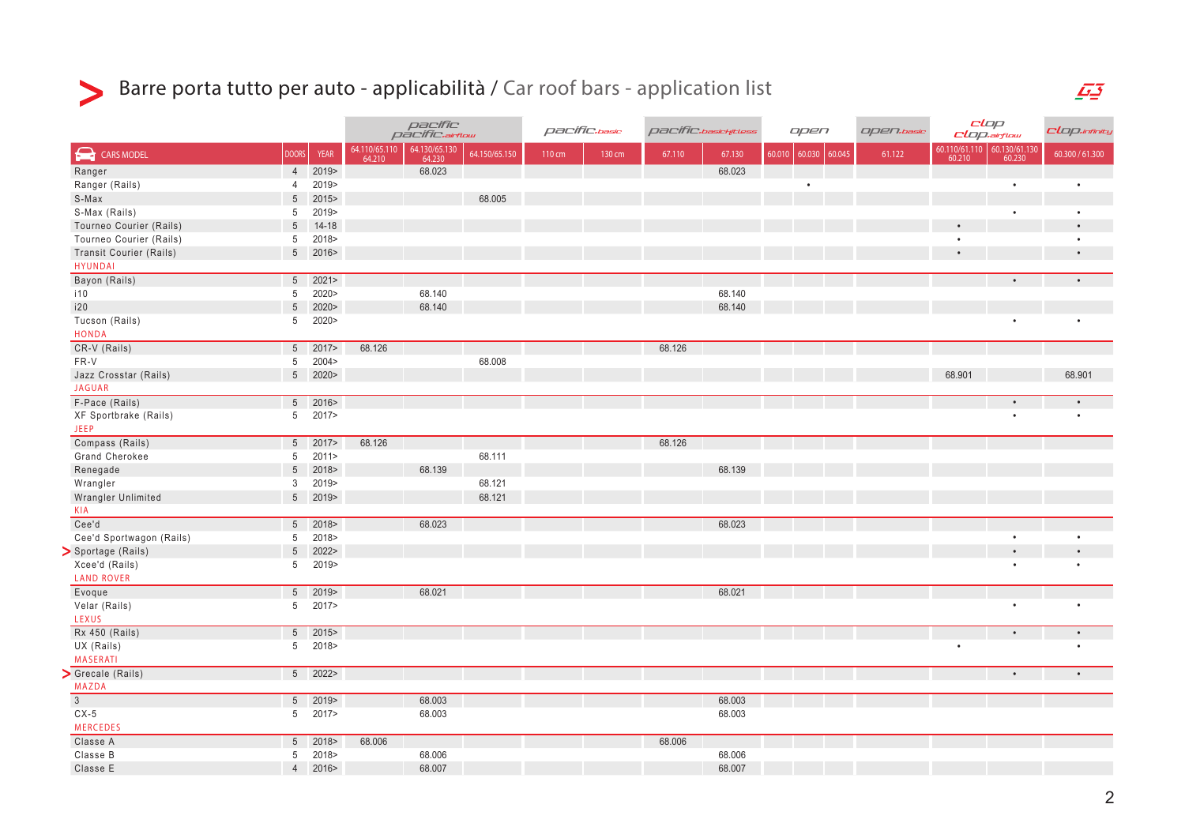

# Barre porta tutto per auto - applicabilità / Car roof bars - application list

|                                            |                 |             | pacífic<br>pacífic.artow |                         | pacific.basic |        | pacific. <sub>basichitless</sub> |        | open   |        | Open.basic       | clop<br>$clap$ .airflow |           | CLop.infinity                                                                                                  |                 |
|--------------------------------------------|-----------------|-------------|--------------------------|-------------------------|---------------|--------|----------------------------------|--------|--------|--------|------------------|-------------------------|-----------|----------------------------------------------------------------------------------------------------------------|-----------------|
| $\boldsymbol{\Omega}$<br><b>CARS MODEL</b> | <b>DOORS</b>    | <b>YEAR</b> | 64.110/65.110<br>64.210  | 64.130/65.130<br>64.230 | 64.150/65.150 | 110 cm | 130 cm                           | 67.110 | 67.130 | 60.010 | 60.030<br>60.045 | 61.122                  |           | $\begin{array}{ c c c c }\hline 60.110/61.110 & 60.130/61.130 \\ \hline 60.210 & 60.230 \\ \hline \end{array}$ | 60.300 / 61.300 |
| Ranger                                     | $\overline{4}$  | 2019>       |                          | 68.023                  |               |        |                                  |        | 68.023 |        |                  |                         |           |                                                                                                                |                 |
| Ranger (Rails)                             | $\overline{4}$  | 2019>       |                          |                         |               |        |                                  |        |        |        | $\bullet$        |                         |           | $\bullet$                                                                                                      | $\bullet$       |
| S-Max                                      | $5\phantom{.0}$ | 2015        |                          |                         | 68.005        |        |                                  |        |        |        |                  |                         |           |                                                                                                                |                 |
| S-Max (Rails)                              |                 | 5 2019>     |                          |                         |               |        |                                  |        |        |        |                  |                         |           | $\bullet$                                                                                                      | $\bullet$       |
| Tourneo Courier (Rails)                    | $5\overline{)}$ | $14 - 18$   |                          |                         |               |        |                                  |        |        |        |                  |                         | $\bullet$ |                                                                                                                | $\bullet$       |
| Tourneo Courier (Rails)                    | 5 <sup>5</sup>  | 2018>       |                          |                         |               |        |                                  |        |        |        |                  |                         | $\bullet$ |                                                                                                                | $\bullet$       |
| <b>Transit Courier (Rails)</b>             |                 | 5 2016>     |                          |                         |               |        |                                  |        |        |        |                  |                         |           |                                                                                                                | $\bullet$       |
| <b>HYUNDAI</b>                             |                 |             |                          |                         |               |        |                                  |        |        |        |                  |                         |           |                                                                                                                |                 |
| Bayon (Rails)                              |                 | $5 \t2021$  |                          |                         |               |        |                                  |        |        |        |                  |                         |           |                                                                                                                |                 |
| i10                                        | $5\phantom{.0}$ | 2020>       |                          | 68.140                  |               |        |                                  |        | 68.140 |        |                  |                         |           |                                                                                                                |                 |
| i20                                        | $5\phantom{.0}$ | 2020        |                          | 68.140                  |               |        |                                  |        | 68.140 |        |                  |                         |           |                                                                                                                |                 |
| Tucson (Rails)                             | 5               | 2020>       |                          |                         |               |        |                                  |        |        |        |                  |                         |           |                                                                                                                | $\bullet$       |
| <b>HONDA</b>                               |                 |             |                          |                         |               |        |                                  |        |        |        |                  |                         |           |                                                                                                                |                 |
| CR-V (Rails)                               |                 | 5 2017>     | 68.126                   |                         |               |        |                                  | 68.126 |        |        |                  |                         |           |                                                                                                                |                 |
| FR-V                                       |                 | 5 2004>     |                          |                         | 68.008        |        |                                  |        |        |        |                  |                         |           |                                                                                                                |                 |
| Jazz Crosstar (Rails)                      |                 | 5 2020>     |                          |                         |               |        |                                  |        |        |        |                  |                         | 68.901    |                                                                                                                | 68.901          |
| <b>JAGUAR</b>                              |                 |             |                          |                         |               |        |                                  |        |        |        |                  |                         |           |                                                                                                                |                 |
| F-Pace (Rails)                             |                 | 5 2016>     |                          |                         |               |        |                                  |        |        |        |                  |                         |           |                                                                                                                |                 |
| XF Sportbrake (Rails)                      |                 | 5 2017>     |                          |                         |               |        |                                  |        |        |        |                  |                         |           |                                                                                                                | $\bullet$       |
| <b>JEEP</b>                                |                 |             |                          |                         |               |        |                                  |        |        |        |                  |                         |           |                                                                                                                |                 |
| Compass (Rails)                            |                 | $5 \t2017$  | 68.126                   |                         |               |        |                                  | 68.126 |        |        |                  |                         |           |                                                                                                                |                 |
| <b>Grand Cherokee</b>                      |                 | 5 2011>     |                          |                         | 68.111        |        |                                  |        |        |        |                  |                         |           |                                                                                                                |                 |
| Renegade                                   | $5\phantom{.0}$ | 2018>       |                          | 68.139                  |               |        |                                  |        | 68.139 |        |                  |                         |           |                                                                                                                |                 |
| Wrangler                                   | 3               | 2019>       |                          |                         | 68.121        |        |                                  |        |        |        |                  |                         |           |                                                                                                                |                 |
| Wrangler Unlimited                         |                 | 5 2019>     |                          |                         | 68.121        |        |                                  |        |        |        |                  |                         |           |                                                                                                                |                 |
| <b>KIA</b>                                 |                 |             |                          |                         |               |        |                                  |        |        |        |                  |                         |           |                                                                                                                |                 |
| Cee'd                                      |                 | $5 \t 2018$ |                          | 68.023                  |               |        |                                  |        | 68.023 |        |                  |                         |           |                                                                                                                |                 |
| Cee'd Sportwagon (Rails)                   |                 | 5 2018>     |                          |                         |               |        |                                  |        |        |        |                  |                         |           | $\bullet$                                                                                                      | $\bullet$       |
| > Sportage (Rails)                         | $5\overline{)}$ | 2022>       |                          |                         |               |        |                                  |        |        |        |                  |                         |           | $\bullet$                                                                                                      |                 |
| Xcee'd (Rails)                             | 5               | 2019>       |                          |                         |               |        |                                  |        |        |        |                  |                         |           |                                                                                                                |                 |
| <b>LAND ROVER</b>                          |                 |             |                          |                         |               |        |                                  |        |        |        |                  |                         |           |                                                                                                                |                 |
| Evoque                                     |                 | $5 \t2019$  |                          | 68.021                  |               |        |                                  |        | 68.021 |        |                  |                         |           |                                                                                                                |                 |
| Velar (Rails)                              |                 | 5 2017>     |                          |                         |               |        |                                  |        |        |        |                  |                         |           | $\bullet$                                                                                                      | $\bullet$       |
| LEXUS                                      |                 |             |                          |                         |               |        |                                  |        |        |        |                  |                         |           |                                                                                                                |                 |
| <b>Rx 450 (Rails)</b>                      |                 | 5 2015>     |                          |                         |               |        |                                  |        |        |        |                  |                         |           | $\bullet$                                                                                                      | $\bullet$       |
| UX (Rails)                                 |                 | 5 2018>     |                          |                         |               |        |                                  |        |        |        |                  |                         | $\bullet$ |                                                                                                                | $\bullet$       |
| <b>MASERATI</b>                            |                 |             |                          |                         |               |        |                                  |        |        |        |                  |                         |           |                                                                                                                |                 |
| Grecale (Rails)                            |                 | 5 2022>     |                          |                         |               |        |                                  |        |        |        |                  |                         |           |                                                                                                                |                 |
| <b>MAZDA</b>                               |                 |             |                          |                         |               |        |                                  |        |        |        |                  |                         |           |                                                                                                                |                 |
| $\overline{3}$                             |                 | $5 \t2019$  |                          | 68.003                  |               |        |                                  |        | 68.003 |        |                  |                         |           |                                                                                                                |                 |
| $CX-5$                                     |                 | 5 2017>     |                          | 68.003                  |               |        |                                  |        | 68.003 |        |                  |                         |           |                                                                                                                |                 |
| <b>MERCEDES</b>                            |                 |             |                          |                         |               |        |                                  |        |        |        |                  |                         |           |                                                                                                                |                 |
| Classe A                                   | 5 <sup>5</sup>  | 2018        | 68.006                   |                         |               |        |                                  | 68.006 |        |        |                  |                         |           |                                                                                                                |                 |
| Classe B                                   | 5               | 2018>       |                          | 68.006                  |               |        |                                  |        | 68.006 |        |                  |                         |           |                                                                                                                |                 |
| Classe E                                   | $\overline{4}$  | 2016>       |                          | 68.007                  |               |        |                                  |        | 68.007 |        |                  |                         |           |                                                                                                                |                 |
|                                            |                 |             |                          |                         |               |        |                                  |        |        |        |                  |                         |           |                                                                                                                |                 |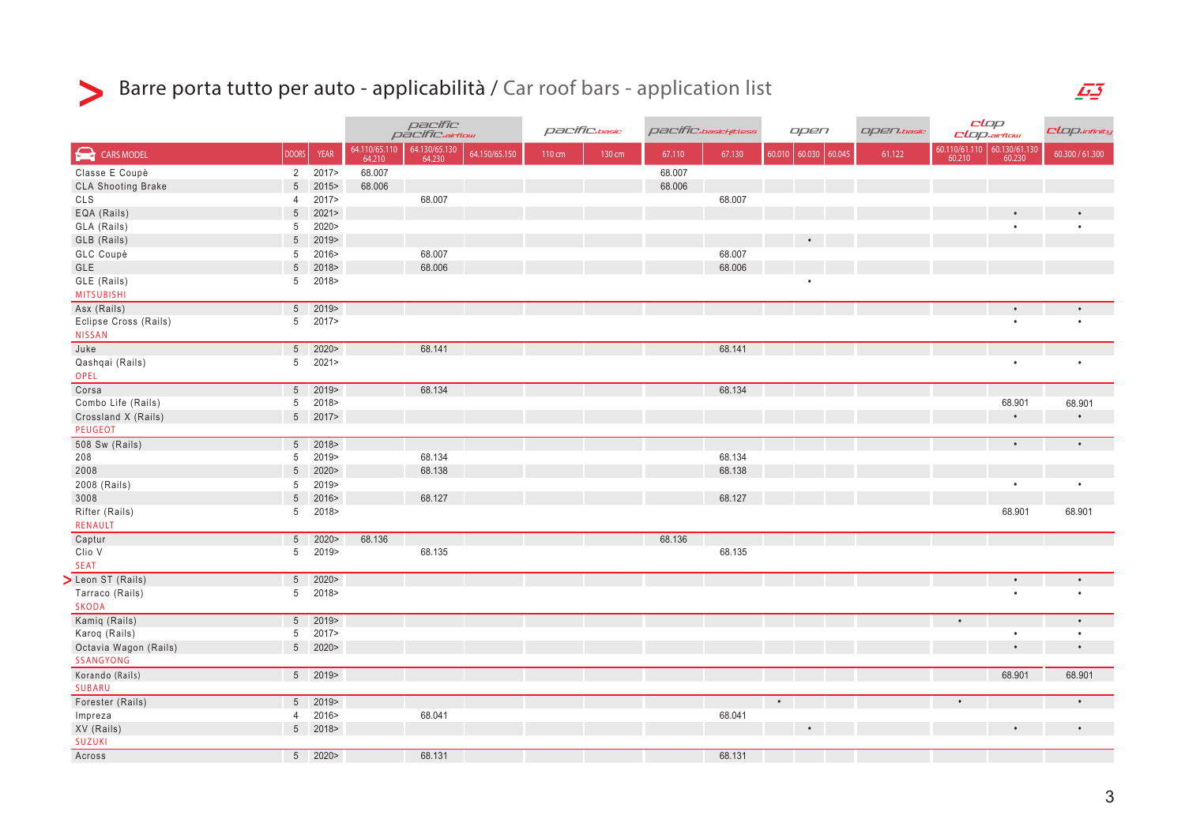# Barre porta tutto per auto - applicabilità / Car roof bars - application list

|                                 |                                   |                 | pacífic<br>pacífic.airflow |                                          | pacific.basic |        | <i>pacific.basichitless</i> |        | open      |                 | <b>Open.basic</b> | clap<br><b>CLOP.airflow</b> |                                                                                                                   | CLOP.infinity   |
|---------------------------------|-----------------------------------|-----------------|----------------------------|------------------------------------------|---------------|--------|-----------------------------|--------|-----------|-----------------|-------------------|-----------------------------|-------------------------------------------------------------------------------------------------------------------|-----------------|
| $\bigodot$<br><b>CARS MODEL</b> | <b>DOORS</b>                      | <b>YEAR</b>     | 64.110/65.110<br>64.210    | 64.130/65.130<br>64.150/65.150<br>64.230 | 110 cm        | 130 cm | 67.110                      | 67.130 | 60.010    | 60.030   60.045 | 61.122            |                             | $\begin{array}{ c c c c c } \hline 60.110/61.110 & 60.130/61.130 \\ \hline 60.210 & 60.230 \\ \hline \end{array}$ | 60.300 / 61.300 |
| Classe E Coupè                  |                                   | 2 2017>         | 68.007                     |                                          |               |        | 68.007                      |        |           |                 |                   |                             |                                                                                                                   |                 |
| <b>CLA Shooting Brake</b>       | $5\phantom{.0}$                   | 2015>           | 68.006                     |                                          |               |        | 68.006                      |        |           |                 |                   |                             |                                                                                                                   |                 |
| CLS                             | 4                                 | 2017>           |                            | 68.007                                   |               |        |                             | 68.007 |           |                 |                   |                             |                                                                                                                   |                 |
| EQA (Rails)                     | $5\overline{)}$                   | 2021            |                            |                                          |               |        |                             |        |           |                 |                   |                             | $\bullet$                                                                                                         |                 |
| GLA (Rails)                     | $5\phantom{.0}$                   | 2020>           |                            |                                          |               |        |                             |        |           |                 |                   |                             | $\bullet$                                                                                                         |                 |
| GLB (Rails)                     | $5\phantom{.0}$                   | 2019>           |                            |                                          |               |        |                             |        |           |                 |                   |                             |                                                                                                                   |                 |
| GLC Coupè                       | 5                                 | 2016>           |                            | 68.007                                   |               |        |                             | 68.007 |           |                 |                   |                             |                                                                                                                   |                 |
| GLE                             | $5\phantom{.0}$                   | 2018>           |                            | 68.006                                   |               |        |                             | 68.006 |           |                 |                   |                             |                                                                                                                   |                 |
| GLE (Rails)<br>MITSUBISHI       | 5 <sup>5</sup>                    | 2018>           |                            |                                          |               |        |                             |        |           |                 |                   |                             |                                                                                                                   |                 |
| Asx (Rails)                     |                                   | 5 2019>         |                            |                                          |               |        |                             |        |           |                 |                   |                             | $\bullet$                                                                                                         |                 |
| Eclipse Cross (Rails)           | 5 <sup>5</sup>                    | 2017>           |                            |                                          |               |        |                             |        |           |                 |                   |                             | $\bullet$                                                                                                         | $\bullet$       |
| <b>NISSAN</b>                   |                                   |                 |                            |                                          |               |        |                             |        |           |                 |                   |                             |                                                                                                                   |                 |
| Juke                            |                                   | 5 2020>         |                            | 68.141                                   |               |        |                             | 68.141 |           |                 |                   |                             |                                                                                                                   |                 |
| Qashqai (Rails)                 |                                   | 5 2021>         |                            |                                          |               |        |                             |        |           |                 |                   |                             | $\bullet$                                                                                                         | $\bullet$       |
| OPEL                            |                                   |                 |                            |                                          |               |        |                             |        |           |                 |                   |                             |                                                                                                                   |                 |
| Corsa                           |                                   | 5 2019>         |                            | 68.134                                   |               |        |                             | 68.134 |           |                 |                   |                             |                                                                                                                   |                 |
| Combo Life (Rails)              | 5 <sup>5</sup>                    | 2018>           |                            |                                          |               |        |                             |        |           |                 |                   |                             | 68.901                                                                                                            | 68.901          |
| Crossland X (Rails)             |                                   | 5 2017>         |                            |                                          |               |        |                             |        |           |                 |                   |                             |                                                                                                                   | $\bullet$       |
| PEUGEOT                         |                                   |                 |                            |                                          |               |        |                             |        |           |                 |                   |                             |                                                                                                                   |                 |
| 508 Sw (Rails)                  |                                   | 5 2018>         |                            |                                          |               |        |                             |        |           |                 |                   |                             | $\bullet$                                                                                                         | $\bullet$       |
| 208                             |                                   | 5 2019><br>2020 |                            | 68.134                                   |               |        |                             | 68.134 |           |                 |                   |                             |                                                                                                                   |                 |
| 2008                            | 5                                 |                 |                            | 68.138                                   |               |        |                             | 68.138 |           |                 |                   |                             | $\bullet$                                                                                                         | $\bullet$       |
| 2008 (Rails)<br>3008            | 5 <sup>5</sup><br>$5\phantom{.0}$ | 2019><br>2016>  |                            | 68.127                                   |               |        |                             | 68.127 |           |                 |                   |                             |                                                                                                                   |                 |
| Rifter (Rails)                  | 5                                 | 2018>           |                            |                                          |               |        |                             |        |           |                 |                   |                             | 68.901                                                                                                            | 68.901          |
| <b>RENAULT</b>                  |                                   |                 |                            |                                          |               |        |                             |        |           |                 |                   |                             |                                                                                                                   |                 |
| Captur                          |                                   | 5 2020>         | 68.136                     |                                          |               |        | 68.136                      |        |           |                 |                   |                             |                                                                                                                   |                 |
| Clio V                          |                                   | 5 2019>         |                            | 68.135                                   |               |        |                             | 68.135 |           |                 |                   |                             |                                                                                                                   |                 |
| <b>SEAT</b>                     |                                   |                 |                            |                                          |               |        |                             |        |           |                 |                   |                             |                                                                                                                   |                 |
| Leon ST (Rails)                 |                                   | 5 2020>         |                            |                                          |               |        |                             |        |           |                 |                   |                             | $\bullet$                                                                                                         | $\bullet$       |
| Tarraco (Rails)                 | 5 <sup>5</sup>                    | 2018>           |                            |                                          |               |        |                             |        |           |                 |                   |                             | $\bullet$                                                                                                         | $\bullet$       |
| SKODA                           |                                   |                 |                            |                                          |               |        |                             |        |           |                 |                   |                             |                                                                                                                   |                 |
| Kamiq (Rails)                   |                                   | $5 \t2019$      |                            |                                          |               |        |                             |        |           |                 |                   |                             |                                                                                                                   | $\bullet$       |
| Karoq (Rails)                   | 5 <sup>5</sup>                    | 2017>           |                            |                                          |               |        |                             |        |           |                 |                   |                             | $\bullet$                                                                                                         | $\bullet$       |
| Octavia Wagon (Rails)           |                                   | 5 2020>         |                            |                                          |               |        |                             |        |           |                 |                   |                             | $\bullet$                                                                                                         | $\bullet$       |
| SSANGYONG                       |                                   |                 |                            |                                          |               |        |                             |        |           |                 |                   |                             |                                                                                                                   |                 |
| Korando (Rails)                 |                                   | $5 \t2019$      |                            |                                          |               |        |                             |        |           |                 |                   |                             | 68.901                                                                                                            | 68.901          |
| SUBARU                          |                                   |                 |                            |                                          |               |        |                             |        |           |                 |                   |                             |                                                                                                                   |                 |
| Forester (Rails)                |                                   | $5 \t2019$      |                            |                                          |               |        |                             |        | $\bullet$ |                 |                   |                             |                                                                                                                   | $\bullet$       |
| Impreza                         |                                   | 4 2016>         |                            | 68.041                                   |               |        |                             | 68.041 |           |                 |                   |                             |                                                                                                                   |                 |
| XV (Rails)                      |                                   | 5 2018>         |                            |                                          |               |        |                             |        |           | $\bullet$       |                   |                             |                                                                                                                   | $\bullet$       |
| <b>SUZUKI</b>                   |                                   |                 |                            |                                          |               |        |                             |        |           |                 |                   |                             |                                                                                                                   |                 |
| Across                          |                                   | $5 \t2020$      |                            | 68.131                                   |               |        |                             | 68.131 |           |                 |                   |                             |                                                                                                                   |                 |